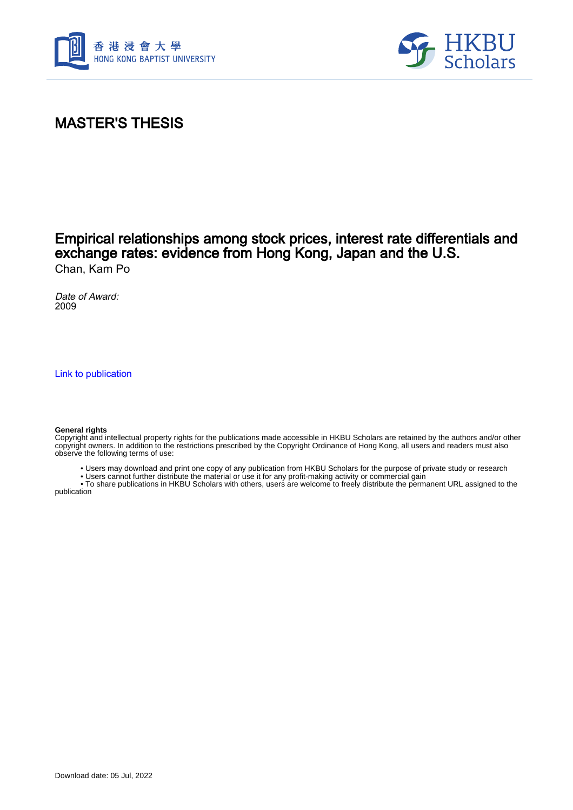



## MASTER'S THESIS

### Empirical relationships among stock prices, interest rate differentials and exchange rates: evidence from Hong Kong, Japan and the U.S. Chan, Kam Po

Date of Award: 2009

[Link to publication](https://scholars.hkbu.edu.hk/en/studentTheses/a3c5e34a-281f-4d3f-b272-dd154d4b174a)

#### **General rights**

Copyright and intellectual property rights for the publications made accessible in HKBU Scholars are retained by the authors and/or other copyright owners. In addition to the restrictions prescribed by the Copyright Ordinance of Hong Kong, all users and readers must also observe the following terms of use:

- Users may download and print one copy of any publication from HKBU Scholars for the purpose of private study or research
- Users cannot further distribute the material or use it for any profit-making activity or commercial gain

 • To share publications in HKBU Scholars with others, users are welcome to freely distribute the permanent URL assigned to the publication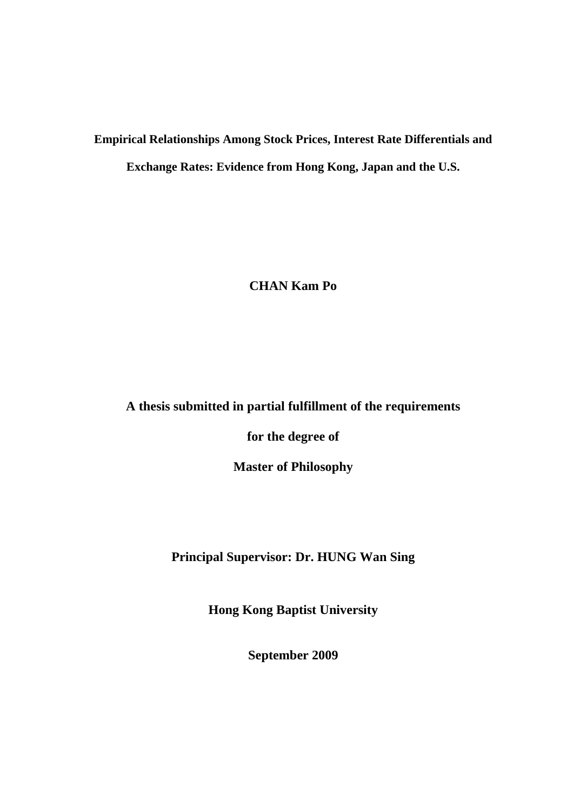# **Empirical Relationships Among Stock Prices, Interest Rate Differentials and Exchange Rates: Evidence from Hong Kong, Japan and the U.S.**

**CHAN Kam Po** 

### **A thesis submitted in partial fulfillment of the requirements**

**for the degree of** 

**Master of Philosophy** 

**Principal Supervisor: Dr. HUNG Wan Sing** 

**Hong Kong Baptist University** 

**September 2009**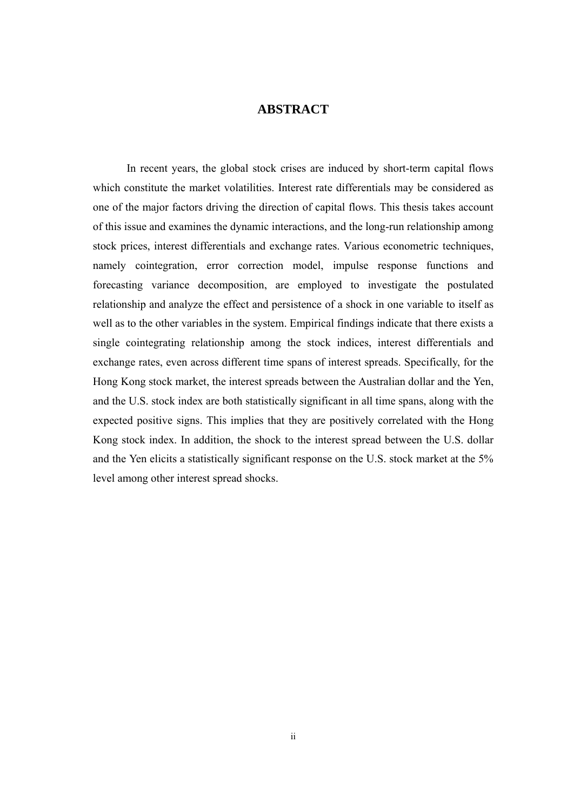### **ABSTRACT**

In recent years, the global stock crises are induced by short-term capital flows which constitute the market volatilities. Interest rate differentials may be considered as one of the major factors driving the direction of capital flows. This thesis takes account of this issue and examines the dynamic interactions, and the long-run relationship among stock prices, interest differentials and exchange rates. Various econometric techniques, namely cointegration, error correction model, impulse response functions and forecasting variance decomposition, are employed to investigate the postulated relationship and analyze the effect and persistence of a shock in one variable to itself as well as to the other variables in the system. Empirical findings indicate that there exists a single cointegrating relationship among the stock indices, interest differentials and exchange rates, even across different time spans of interest spreads. Specifically, for the Hong Kong stock market, the interest spreads between the Australian dollar and the Yen, and the U.S. stock index are both statistically significant in all time spans, along with the expected positive signs. This implies that they are positively correlated with the Hong Kong stock index. In addition, the shock to the interest spread between the U.S. dollar and the Yen elicits a statistically significant response on the U.S. stock market at the 5% level among other interest spread shocks.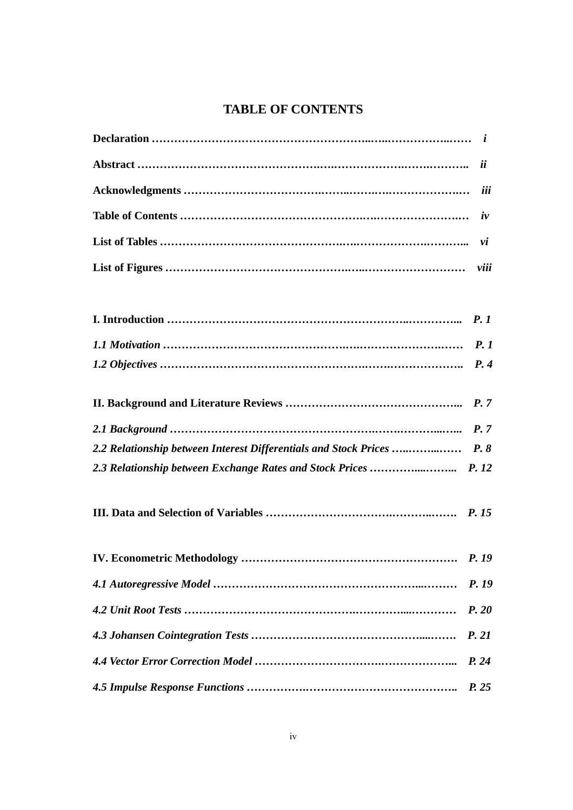### **TABLE OF CONTENTS**

|                                                                  | iii       |
|------------------------------------------------------------------|-----------|
|                                                                  | $\dot{v}$ |
|                                                                  | vi        |
|                                                                  |           |
|                                                                  |           |
|                                                                  |           |
|                                                                  |           |
|                                                                  |           |
|                                                                  | P.7       |
| 2.2 Relationship between Interest Differentials and Stock Prices | P.8       |
| 2.3 Relationship between Exchange Rates and Stock Prices  P. 12  |           |
|                                                                  |           |
|                                                                  |           |
|                                                                  | P. 19     |
|                                                                  | P. 20     |
|                                                                  | P. 21     |
|                                                                  | P. 24     |